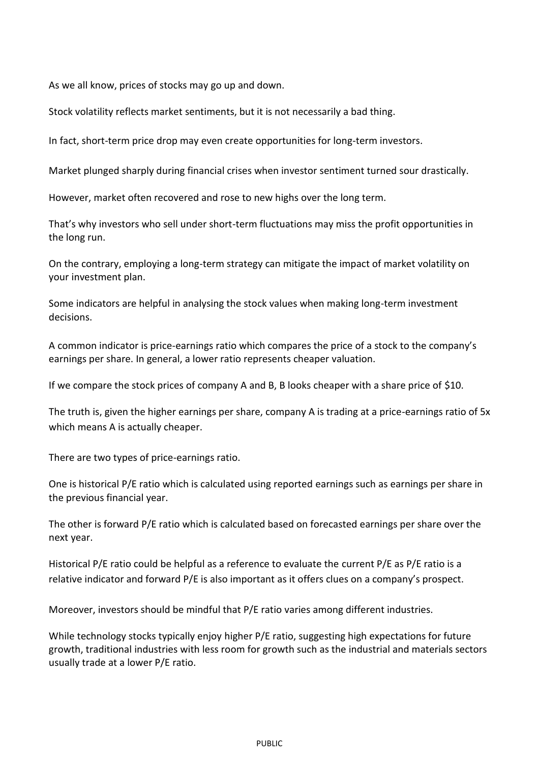As we all know, prices of stocks may go up and down.

Stock volatility reflects market sentiments, but it is not necessarily a bad thing.

In fact, short-term price drop may even create opportunities for long-term investors.

Market plunged sharply during financial crises when investor sentiment turned sour drastically.

However, market often recovered and rose to new highs over the long term.

That's why investors who sell under short-term fluctuations may miss the profit opportunities in the long run.

On the contrary, employing a long-term strategy can mitigate the impact of market volatility on your investment plan.

Some indicators are helpful in analysing the stock values when making long-term investment decisions.

A common indicator is price-earnings ratio which compares the price of a stock to the company's earnings per share. In general, a lower ratio represents cheaper valuation.

If we compare the stock prices of company A and B, B looks cheaper with a share price of \$10.

The truth is, given the higher earnings per share, company A is trading at a price-earnings ratio of 5x which means A is actually cheaper.

There are two types of price-earnings ratio.

One is historical P/E ratio which is calculated using reported earnings such as earnings per share in the previous financial year.

The other is forward P/E ratio which is calculated based on forecasted earnings per share over the next year.

Historical P/E ratio could be helpful as a reference to evaluate the current P/E as P/E ratio is a relative indicator and forward P/E is also important as it offers clues on a company's prospect.

Moreover, investors should be mindful that P/E ratio varies among different industries.

While technology stocks typically enjoy higher P/E ratio, suggesting high expectations for future growth, traditional industries with less room for growth such as the industrial and materials sectors usually trade at a lower P/E ratio.